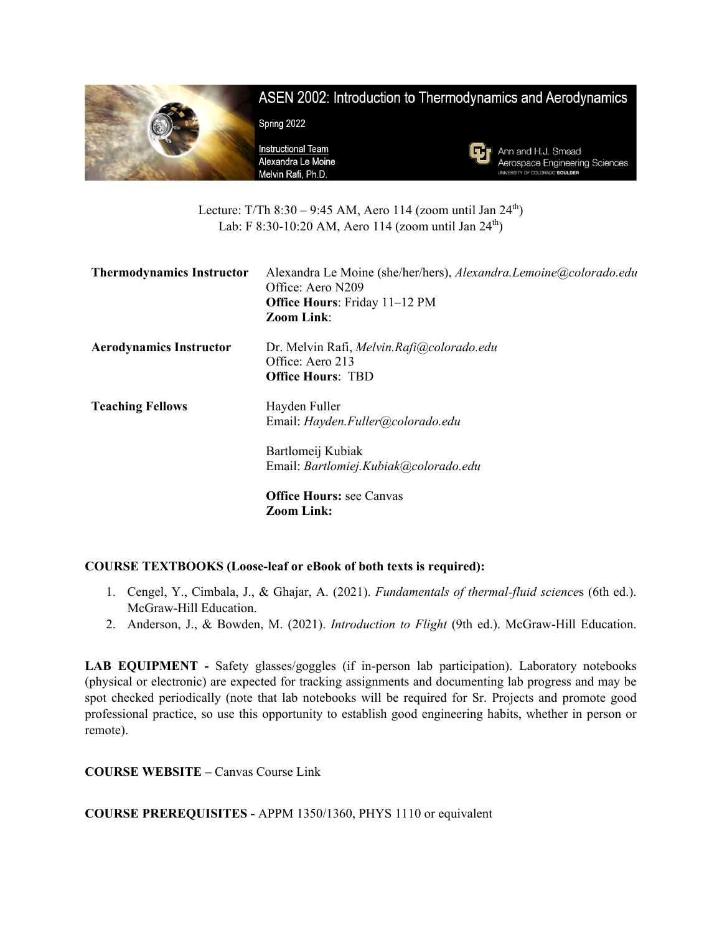

Lecture: T/Th  $8:30 - 9:45$  AM, Aero 114 (zoom until Jan  $24<sup>th</sup>$ ) Lab: F 8:30-10:20 AM, Aero 114 (zoom until Jan  $24^{th}$ )

| <b>Thermodynamics Instructor</b> | Alexandra Le Moine (she/her/hers), Alexandra.Lemoine@colorado.edu<br>Office: Aero N209<br><b>Office Hours: Friday 11-12 PM</b><br><b>Zoom Link:</b> |
|----------------------------------|-----------------------------------------------------------------------------------------------------------------------------------------------------|
| <b>Aerodynamics Instructor</b>   | Dr. Melvin Rafi, Melvin.Rafi@colorado.edu<br>Office: Aero 213<br><b>Office Hours: TBD</b>                                                           |
| <b>Teaching Fellows</b>          | Hayden Fuller<br>Email: Hayden.Fuller@colorado.edu                                                                                                  |
|                                  | Bartlomeij Kubiak<br>Email: Bartlomiej.Kubiak@colorado.edu                                                                                          |
|                                  | <b>Office Hours: see Canvas</b><br><b>Zoom Link:</b>                                                                                                |

# **COURSE TEXTBOOKS (Loose-leaf or eBook of both texts is required):**

- 1. Cengel, Y., Cimbala, J., & Ghajar, A. (2021). *Fundamentals of thermal-fluid science*s (6th ed.). McGraw-Hill Education.
- 2. Anderson, J., & Bowden, M. (2021). *Introduction to Flight* (9th ed.). McGraw-Hill Education.

**LAB EQUIPMENT -** Safety glasses/goggles (if in-person lab participation). Laboratory notebooks (physical or electronic) are expected for tracking assignments and documenting lab progress and may be spot checked periodically (note that lab notebooks will be required for Sr. Projects and promote good professional practice, so use this opportunity to establish good engineering habits, whether in person or remote).

**COURSE WEBSITE –** Canvas Course Link

**COURSE PREREQUISITES -** APPM 1350/1360, PHYS 1110 or equivalent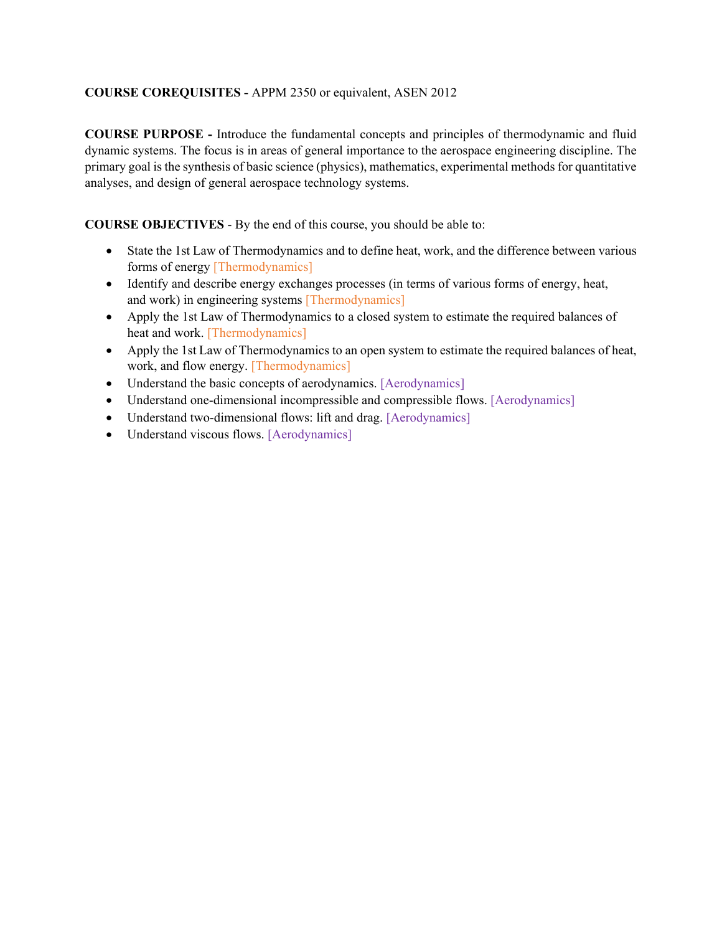# **COURSE COREQUISITES -** APPM 2350 or equivalent, ASEN 2012

**COURSE PURPOSE -** Introduce the fundamental concepts and principles of thermodynamic and fluid dynamic systems. The focus is in areas of general importance to the aerospace engineering discipline. The primary goal is the synthesis of basic science (physics), mathematics, experimental methods for quantitative analyses, and design of general aerospace technology systems.

**COURSE OBJECTIVES** - By the end of this course, you should be able to:

- State the 1st Law of Thermodynamics and to define heat, work, and the difference between various forms of energy [Thermodynamics]
- Identify and describe energy exchanges processes (in terms of various forms of energy, heat, and work) in engineering systems [Thermodynamics]
- Apply the 1st Law of Thermodynamics to a closed system to estimate the required balances of heat and work. [Thermodynamics]
- Apply the 1st Law of Thermodynamics to an open system to estimate the required balances of heat, work, and flow energy. [Thermodynamics]
- Understand the basic concepts of aerodynamics. [Aerodynamics]
- Understand one-dimensional incompressible and compressible flows. [Aerodynamics]
- Understand two-dimensional flows: lift and drag. [Aerodynamics]
- Understand viscous flows. [Aerodynamics]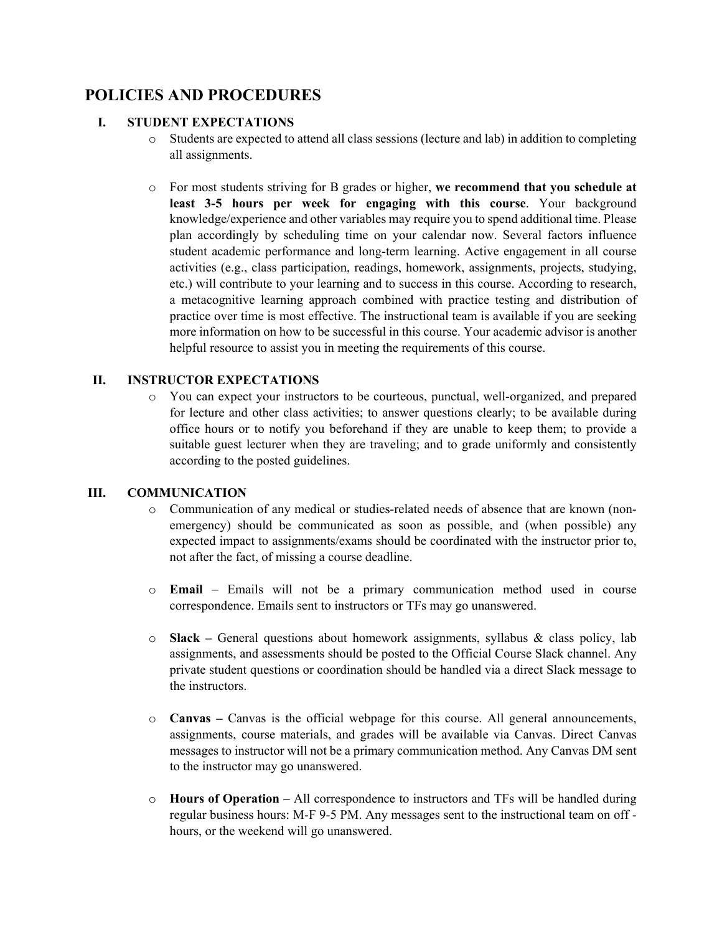# **POLICIES AND PROCEDURES**

# **I. STUDENT EXPECTATIONS**

- o Students are expected to attend all class sessions (lecture and lab) in addition to completing all assignments.
- o For most students striving for B grades or higher, **we recommend that you schedule at least 3-5 hours per week for engaging with this course**. Your background knowledge/experience and other variables may require you to spend additional time. Please plan accordingly by scheduling time on your calendar now. Several factors influence student academic performance and long-term learning. Active engagement in all course activities (e.g., class participation, readings, homework, assignments, projects, studying, etc.) will contribute to your learning and to success in this course. According to research, a metacognitive learning approach combined with practice testing and distribution of practice over time is most effective. The instructional team is available if you are seeking more information on how to be successful in this course. Your academic advisor is another helpful resource to assist you in meeting the requirements of this course.

## **II. INSTRUCTOR EXPECTATIONS**

o You can expect your instructors to be courteous, punctual, well-organized, and prepared for lecture and other class activities; to answer questions clearly; to be available during office hours or to notify you beforehand if they are unable to keep them; to provide a suitable guest lecturer when they are traveling; and to grade uniformly and consistently according to the posted guidelines.

#### **III. COMMUNICATION**

- o Communication of any medical or studies-related needs of absence that are known (nonemergency) should be communicated as soon as possible, and (when possible) any expected impact to assignments/exams should be coordinated with the instructor prior to, not after the fact, of missing a course deadline.
- o **Email** Emails will not be a primary communication method used in course correspondence. Emails sent to instructors or TFs may go unanswered.
- o **Slack –** General questions about homework assignments, syllabus & class policy, lab assignments, and assessments should be posted to the Official Course Slack channel. Any private student questions or coordination should be handled via a direct Slack message to the instructors.
- o **Canvas –** Canvas is the official webpage for this course. All general announcements, assignments, course materials, and grades will be available via Canvas. Direct Canvas messages to instructor will not be a primary communication method. Any Canvas DM sent to the instructor may go unanswered.
- o **Hours of Operation –** All correspondence to instructors and TFs will be handled during regular business hours: M-F 9-5 PM. Any messages sent to the instructional team on off hours, or the weekend will go unanswered.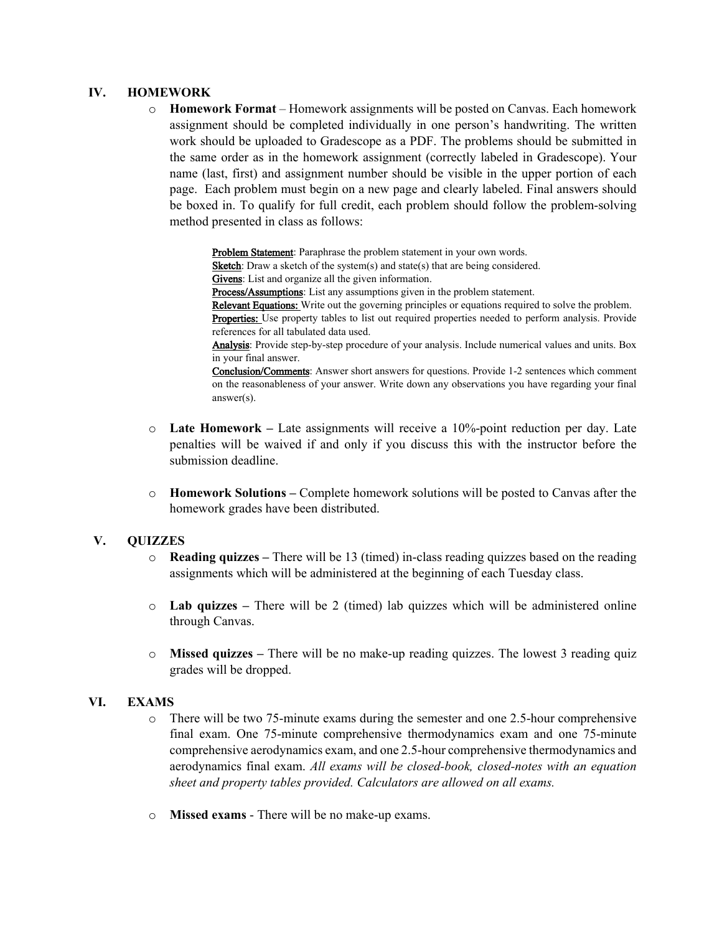#### **IV. HOMEWORK**

o **Homework Format** – Homework assignments will be posted on Canvas. Each homework assignment should be completed individually in one person's handwriting. The written work should be uploaded to Gradescope as a PDF. The problems should be submitted in the same order as in the homework assignment (correctly labeled in Gradescope). Your name (last, first) and assignment number should be visible in the upper portion of each page. Each problem must begin on a new page and clearly labeled. Final answers should be boxed in. To qualify for full credit, each problem should follow the problem-solving method presented in class as follows:

> Problem Statement: Paraphrase the problem statement in your own words. Sketch: Draw a sketch of the system(s) and state(s) that are being considered. Givens: List and organize all the given information. Process/Assumptions: List any assumptions given in the problem statement. Relevant Equations: Write out the governing principles or equations required to solve the problem. Properties: Use property tables to list out required properties needed to perform analysis. Provide references for all tabulated data used. Analysis: Provide step-by-step procedure of your analysis. Include numerical values and units. Box in your final answer. Conclusion/Comments: Answer short answers for questions. Provide 1-2 sentences which comment on the reasonableness of your answer. Write down any observations you have regarding your final answer(s).

- o **Late Homework –** Late assignments will receive a 10%-point reduction per day. Late penalties will be waived if and only if you discuss this with the instructor before the submission deadline.
- o **Homework Solutions –** Complete homework solutions will be posted to Canvas after the homework grades have been distributed.

#### **V. QUIZZES**

- o **Reading quizzes –** There will be 13 (timed) in-class reading quizzes based on the reading assignments which will be administered at the beginning of each Tuesday class.
- o **Lab quizzes –** There will be 2 (timed) lab quizzes which will be administered online through Canvas.
- o **Missed quizzes –** There will be no make-up reading quizzes. The lowest 3 reading quiz grades will be dropped.

#### **VI. EXAMS**

- o There will be two 75-minute exams during the semester and one 2.5-hour comprehensive final exam. One 75-minute comprehensive thermodynamics exam and one 75-minute comprehensive aerodynamics exam, and one 2.5-hour comprehensive thermodynamics and aerodynamics final exam. *All exams will be closed-book, closed-notes with an equation sheet and property tables provided. Calculators are allowed on all exams.*
- o **Missed exams** There will be no make-up exams.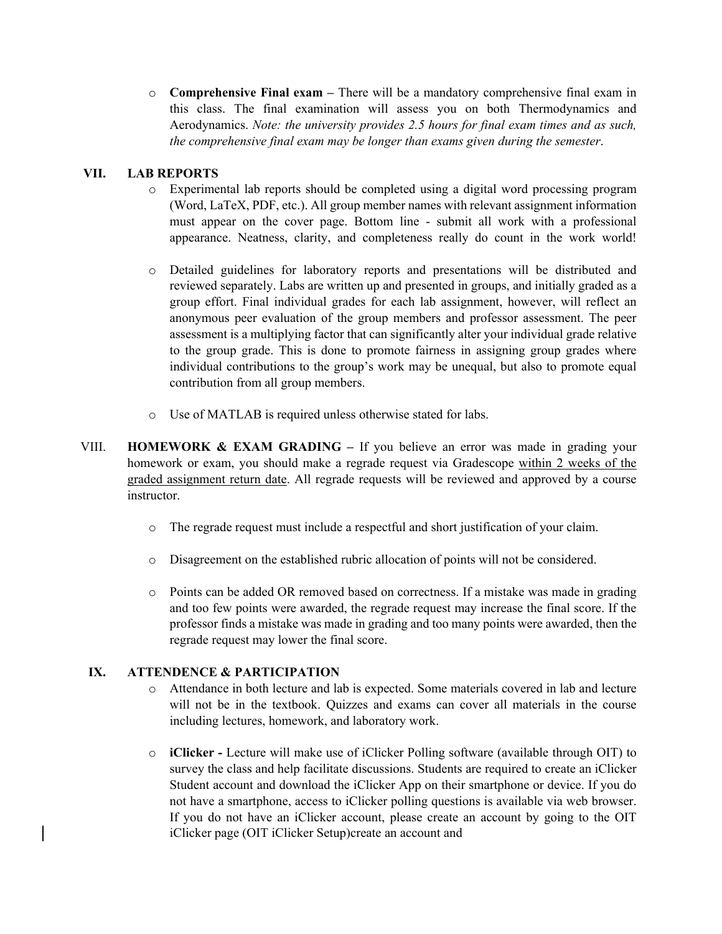o **Comprehensive Final exam –** There will be a mandatory comprehensive final exam in this class. The final examination will assess you on both Thermodynamics and Aerodynamics. *Note: the university provides 2.5 hours for final exam times and as such, the comprehensive final exam may be longer than exams given during the semester*.

# **VII. LAB REPORTS**

- o Experimental lab reports should be completed using a digital word processing program (Word, LaTeX, PDF, etc.). All group member names with relevant assignment information must appear on the cover page. Bottom line - submit all work with a professional appearance. Neatness, clarity, and completeness really do count in the work world!
- o Detailed guidelines for laboratory reports and presentations will be distributed and reviewed separately. Labs are written up and presented in groups, and initially graded as a group effort. Final individual grades for each lab assignment, however, will reflect an anonymous peer evaluation of the group members and professor assessment. The peer assessment is a multiplying factor that can significantly alter your individual grade relative to the group grade. This is done to promote fairness in assigning group grades where individual contributions to the group's work may be unequal, but also to promote equal contribution from all group members.
- o Use of MATLAB is required unless otherwise stated for labs.
- VIII. **HOMEWORK & EXAM GRADING –** If you believe an error was made in grading your homework or exam, you should make a regrade request via Gradescope within 2 weeks of the graded assignment return date. All regrade requests will be reviewed and approved by a course instructor.
	- o The regrade request must include a respectful and short justification of your claim.
	- o Disagreement on the established rubric allocation of points will not be considered.
	- o Points can be added OR removed based on correctness. If a mistake was made in grading and too few points were awarded, the regrade request may increase the final score. If the professor finds a mistake was made in grading and too many points were awarded, then the regrade request may lower the final score.

# **IX. ATTENDENCE & PARTICIPATION**

- o Attendance in both lecture and lab is expected. Some materials covered in lab and lecture will not be in the textbook. Quizzes and exams can cover all materials in the course including lectures, homework, and laboratory work.
- o **iClicker -** Lecture will make use of iClicker Polling software (available through OIT) to survey the class and help facilitate discussions. Students are required to create an iClicker Student account and download the iClicker App on their smartphone or device. If you do not have a smartphone, access to iClicker polling questions is available via web browser. If you do not have an iClicker account, please create an account by going to the OIT iClicker page (OIT iClicker Setup)create an account and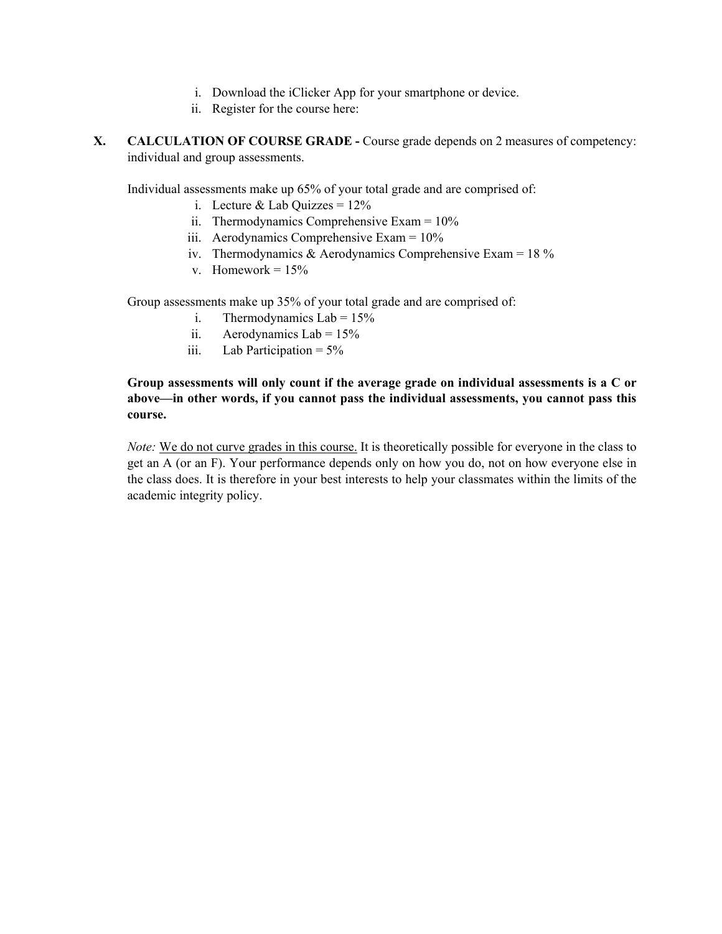- i. Download the iClicker App for your smartphone or device.
- ii. Register for the course here:
- **X. CALCULATION OF COURSE GRADE -** Course grade depends on 2 measures of competency: individual and group assessments.

Individual assessments make up 65% of your total grade and are comprised of:

- i. Lecture & Lab Quizzes =  $12\%$
- ii. Thermodynamics Comprehensive Exam = 10%
- iii. Aerodynamics Comprehensive Exam = 10%
- iv. Thermodynamics & Aerodynamics Comprehensive Exam =  $18\%$
- v. Homework =  $15%$

Group assessments make up 35% of your total grade and are comprised of:

- i. Thermodynamics  $Lab = 15%$
- ii. Aerodynamics Lab =  $15\%$
- iii. Lab Participation = 5%

# **Group assessments will only count if the average grade on individual assessments is a C or above—in other words, if you cannot pass the individual assessments, you cannot pass this course.**

*Note:* We do not curve grades in this course. It is theoretically possible for everyone in the class to get an A (or an F). Your performance depends only on how you do, not on how everyone else in the class does. It is therefore in your best interests to help your classmates within the limits of the academic integrity policy.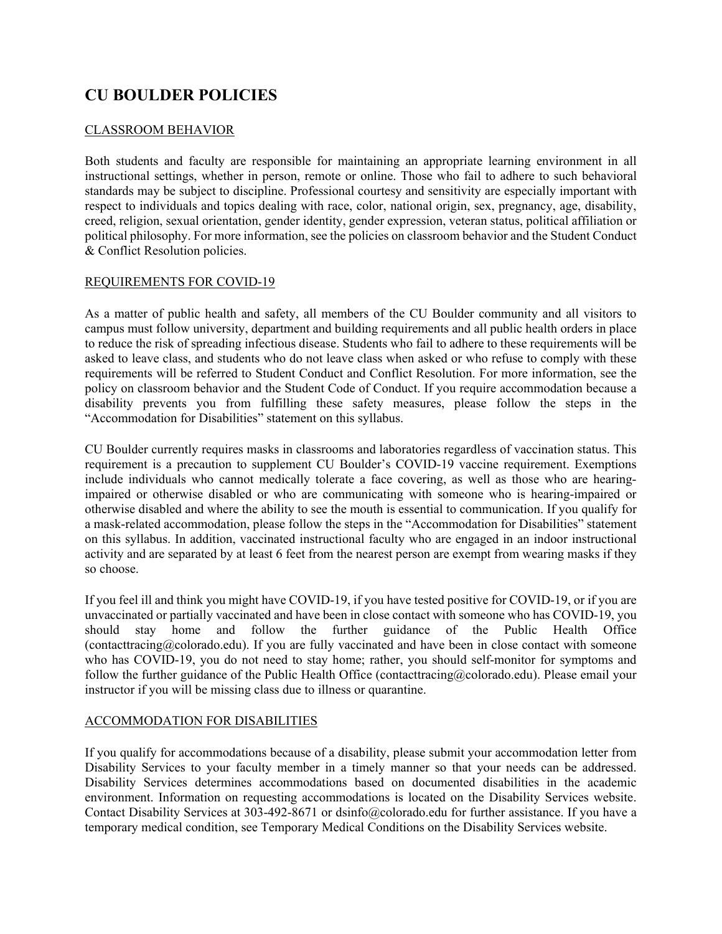# **CU BOULDER POLICIES**

## CLASSROOM BEHAVIOR

Both students and faculty are responsible for maintaining an appropriate learning environment in all instructional settings, whether in person, remote or online. Those who fail to adhere to such behavioral standards may be subject to discipline. Professional courtesy and sensitivity are especially important with respect to individuals and topics dealing with race, color, national origin, sex, pregnancy, age, disability, creed, religion, sexual orientation, gender identity, gender expression, veteran status, political affiliation or political philosophy. For more information, see the policies on classroom behavior and the Student Conduct & Conflict Resolution policies.

## REQUIREMENTS FOR COVID-19

As a matter of public health and safety, all members of the CU Boulder community and all visitors to campus must follow university, department and building requirements and all public health orders in place to reduce the risk of spreading infectious disease. Students who fail to adhere to these requirements will be asked to leave class, and students who do not leave class when asked or who refuse to comply with these requirements will be referred to Student Conduct and Conflict Resolution. For more information, see the policy on classroom behavior and the Student Code of Conduct. If you require accommodation because a disability prevents you from fulfilling these safety measures, please follow the steps in the "Accommodation for Disabilities" statement on this syllabus.

CU Boulder currently requires masks in classrooms and laboratories regardless of vaccination status. This requirement is a precaution to supplement CU Boulder's COVID-19 vaccine requirement. Exemptions include individuals who cannot medically tolerate a face covering, as well as those who are hearingimpaired or otherwise disabled or who are communicating with someone who is hearing-impaired or otherwise disabled and where the ability to see the mouth is essential to communication. If you qualify for a mask-related accommodation, please follow the steps in the "Accommodation for Disabilities" statement on this syllabus. In addition, vaccinated instructional faculty who are engaged in an indoor instructional activity and are separated by at least 6 feet from the nearest person are exempt from wearing masks if they so choose.

If you feel ill and think you might have COVID-19, if you have tested positive for COVID-19, or if you are unvaccinated or partially vaccinated and have been in close contact with someone who has COVID-19, you should stay home and follow the further guidance of the Public Health Office (contacttracing@colorado.edu). If you are fully vaccinated and have been in close contact with someone who has COVID-19, you do not need to stay home; rather, you should self-monitor for symptoms and follow the further guidance of the Public Health Office (contacttracing@colorado.edu). Please email your instructor if you will be missing class due to illness or quarantine.

#### ACCOMMODATION FOR DISABILITIES

If you qualify for accommodations because of a disability, please submit your accommodation letter from Disability Services to your faculty member in a timely manner so that your needs can be addressed. Disability Services determines accommodations based on documented disabilities in the academic environment. Information on requesting accommodations is located on the Disability Services website. Contact Disability Services at 303-492-8671 or dsinfo@colorado.edu for further assistance. If you have a temporary medical condition, see Temporary Medical Conditions on the Disability Services website.